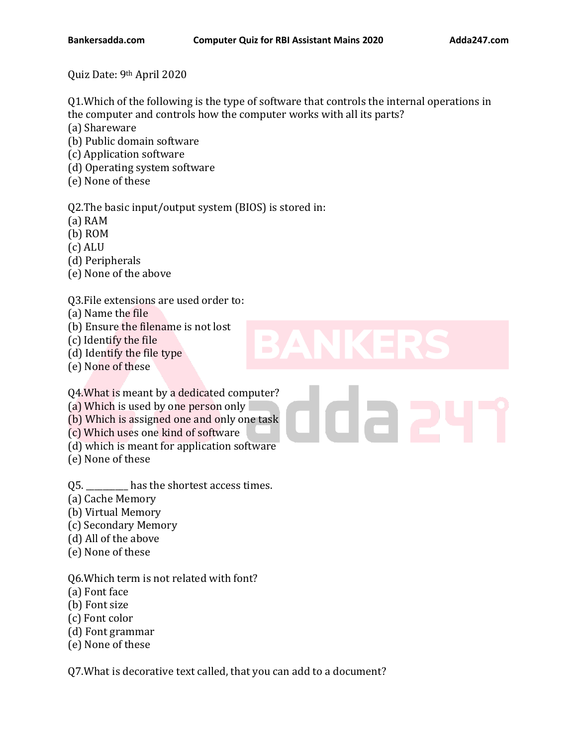Quiz Date: 9th April 2020

Q1.Which of the following is the type of software that controls the internal operations in the computer and controls how the computer works with all its parts?

(a) Shareware

(b) Public domain software

(c) Application software

(d) Operating system software

(e) None of these

Q2.The basic input/output system (BIOS) is stored in:

(a) RAM

(b) ROM

(c) ALU

(d) Peripherals

(e) None of the above

Q3.File extensions are used order to:

(a) Name the file

(b) Ensure the filename is not lost

(c) Identify the file

(d) Identify the file type

(e) None of these

Q4.What is meant by a dedicated computer?

(a) Which is used by one person only

(b) Which is assigned one and only one task

(c) Which uses one kind of software

(d) which is meant for application software

(e) None of these

Q5. \_\_\_\_\_\_\_\_\_\_ has the shortest access times.

- (a) Cache Memory
- (b) Virtual Memory
- (c) Secondary Memory
- (d) All of the above
- (e) None of these

Q6.Which term is not related with font?

(a) Font face

(b) Font size

- (c) Font color
- (d) Font grammar

(e) None of these

Q7.What is decorative text called, that you can add to a document?

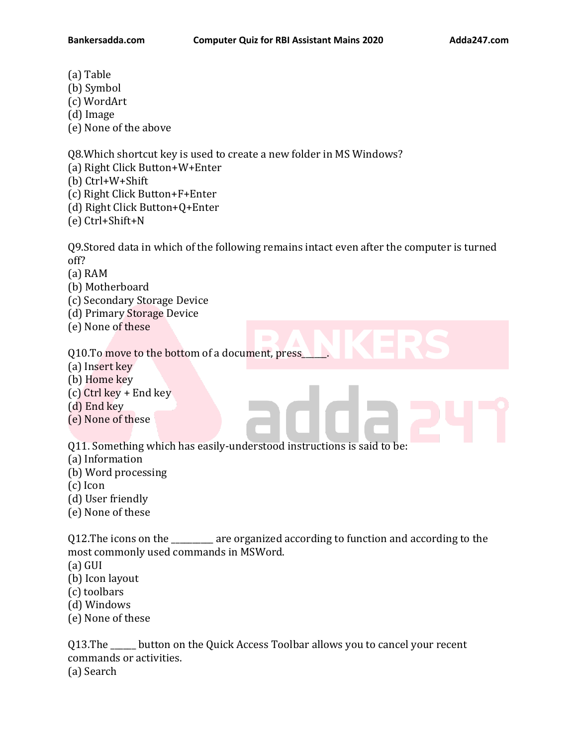- (a) Table
- (b) Symbol
- (c) WordArt
- (d) Image

(e) None of the above

Q8.Which shortcut key is used to create a new folder in MS Windows?

(a) Right Click Button+W+Enter

(b) Ctrl+W+Shift

(c) Right Click Button+F+Enter

(d) Right Click Button+Q+Enter

(e) Ctrl+Shift+N

Q9.Stored data in which of the following remains intact even after the computer is turned off?

(a) RAM

- (b) Motherboard
- (c) Secondary Storage Device
- (d) Primary Storage Device
- (e) None of these

Q10.To move to the bottom of a document, press\_\_\_\_\_\_.

- (a) Insert key
- (b) Home key
- (c) Ctrl key + End key
- (d) End key
- (e) None of these

Q11. Something which has easily-understood instructions is said to be:

- (a) Information
- (b) Word processing
- (c) Icon
- (d) User friendly
- (e) None of these

Q12.The icons on the \_\_\_\_\_\_\_\_\_\_ are organized according to function and according to the most commonly used commands in MSWord.

- (a) GUI
- (b) Icon layout
- (c) toolbars
- (d) Windows
- (e) None of these

Q13.The \_\_\_\_\_\_ button on the Quick Access Toolbar allows you to cancel your recent commands or activities. (a) Search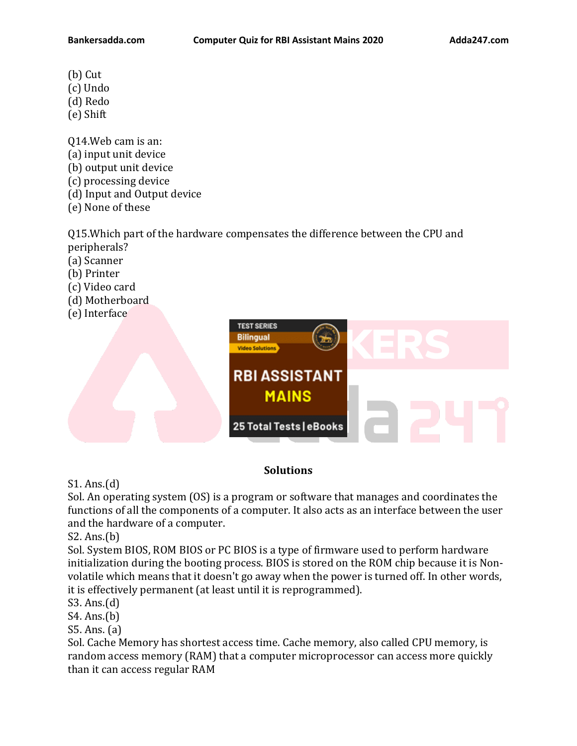- (b) Cut
- (c) Undo
- (d) Redo
- (e) Shift
- Q14.Web cam is an: (a) input unit device (b) output unit device (c) processing device (d) Input and Output device (e) None of these

Q15.Which part of the hardware compensates the difference between the CPU and peripherals?

- (a) Scanner
- (b) Printer
- (c) Video card
- (d) Motherboard
- (e) Interface



## **Solutions**

## S1. Ans.(d)

Sol. An operating system (OS) is a program or software that manages and coordinates the functions of all the components of a computer. It also acts as an interface between the user and the hardware of a computer.

S2. Ans.(b)

Sol. System BIOS, ROM BIOS or PC BIOS is a type of firmware used to perform hardware initialization during the booting process. BIOS is stored on the ROM chip because it is Nonvolatile which means that it doesn't go away when the power is turned off. In other words, it is effectively permanent (at least until it is reprogrammed).

S3. Ans.(d)

S4. Ans.(b)

S5. Ans. (a)

Sol. Cache Memory has shortest access time. Cache memory, also called CPU memory, is random access memory (RAM) that a computer microprocessor can access more quickly than it can access regular RAM